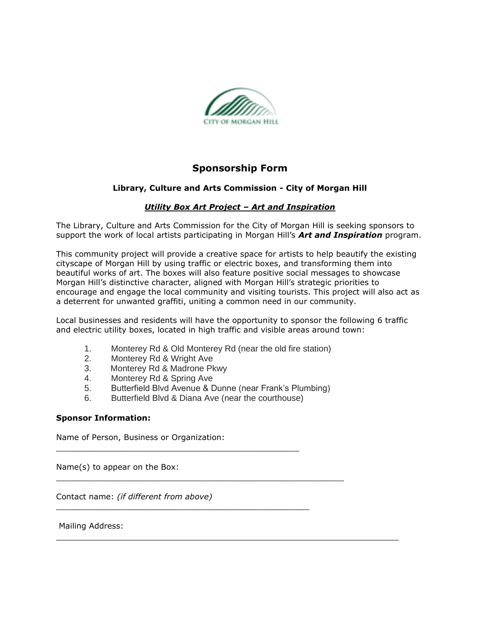

# **Sponsorship Form**

## **Library, Culture and Arts Commission - City of Morgan Hill**

## *Utility Box Art Project – Art and Inspiration*

The Library, Culture and Arts Commission for the City of Morgan Hill is seeking sponsors to support the work of local artists participating in Morgan Hill's *Art and Inspiration* program.

This community project will provide a creative space for artists to help beautify the existing cityscape of Morgan Hill by using traffic or electric boxes, and transforming them into beautiful works of art. The boxes will also feature positive social messages to showcase Morgan Hill's distinctive character, aligned with Morgan Hill's strategic priorities to encourage and engage the local community and visiting tourists. This project will also act as a deterrent for unwanted graffiti, uniting a common need in our community.

Local businesses and residents will have the opportunity to sponsor the following 6 traffic and electric utility boxes, located in high traffic and visible areas around town:

- 1. Monterey Rd & Old Monterey Rd (near the old fire station)
- 2. Monterey Rd & Wright Ave
- 3. Monterey Rd & Madrone Pkwy
- 4. Monterey Rd & Spring Ave
- 5. Butterfield Blvd Avenue & Dunne (near Frank's Plumbing)
- 6. Butterfield Blvd & Diana Ave (near the courthouse)

 $\Box$  . The contribution of the contribution of the contribution of the contribution of the contribution of the contribution of the contribution of the contribution of the contribution of the contribution of the contributi

 $\_$  ,  $\_$  ,  $\_$  ,  $\_$  ,  $\_$  ,  $\_$  ,  $\_$  ,  $\_$  ,  $\_$  ,  $\_$  ,  $\_$  ,  $\_$  ,  $\_$  ,  $\_$  ,  $\_$  ,  $\_$  ,  $\_$  ,  $\_$  ,  $\_$  ,  $\_$ 

\_\_\_\_\_\_\_\_\_\_\_\_\_\_\_\_\_\_\_\_\_\_\_\_\_\_\_\_\_\_\_\_\_\_\_\_\_\_\_\_\_\_\_\_\_\_\_\_\_

\_\_\_\_\_\_\_\_\_\_\_\_\_\_\_\_\_\_\_\_\_\_\_\_\_\_\_\_\_\_\_\_\_\_\_\_\_\_\_\_\_\_\_\_\_\_\_\_\_\_\_

### **Sponsor Information:**

Name of Person, Business or Organization:

Name(s) to appear on the Box:

Contact name: *(if different from above)*

Mailing Address: